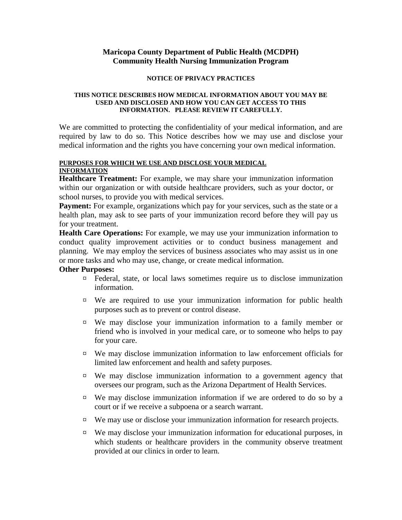# **Maricopa County Department of Public Health (MCDPH) Community Health Nursing Immunization Program**

### **NOTICE OF PRIVACY PRACTICES**

### **THIS NOTICE DESCRIBES HOW MEDICAL INFORMATION ABOUT YOU MAY BE USED AND DISCLOSED AND HOW YOU CAN GET ACCESS TO THIS INFORMATION. PLEASE REVIEW IT CAREFULLY.**

We are committed to protecting the confidentiality of your medical information, and are required by law to do so. This Notice describes how we may use and disclose your medical information and the rights you have concerning your own medical information.

#### **PURPOSES FOR WHICH WE USE AND DISCLOSE YOUR MEDICAL INFORMATION**

**Healthcare Treatment:** For example, we may share your immunization information within our organization or with outside healthcare providers, such as your doctor, or school nurses, to provide you with medical services.

Payment: For example, organizations which pay for your services, such as the state or a health plan, may ask to see parts of your immunization record before they will pay us for your treatment.

**Health Care Operations:** For example, we may use your immunization information to conduct quality improvement activities or to conduct business management and planning. We may employ the services of business associates who may assist us in one or more tasks and who may use, change, or create medical information.

## **Other Purposes:**

- ¤ Federal, state, or local laws sometimes require us to disclose immunization information.
- ¤ We are required to use your immunization information for public health purposes such as to prevent or control disease.
- ¤ We may disclose your immunization information to a family member or friend who is involved in your medical care, or to someone who helps to pay for your care.
- ¤ We may disclose immunization information to law enforcement officials for limited law enforcement and health and safety purposes.
- ¤ We may disclose immunization information to a government agency that oversees our program, such as the Arizona Department of Health Services.
- ¤ We may disclose immunization information if we are ordered to do so by a court or if we receive a subpoena or a search warrant.
- ¤ We may use or disclose your immunization information for research projects.
- ¤ We may disclose your immunization information for educational purposes, in which students or healthcare providers in the community observe treatment provided at our clinics in order to learn.